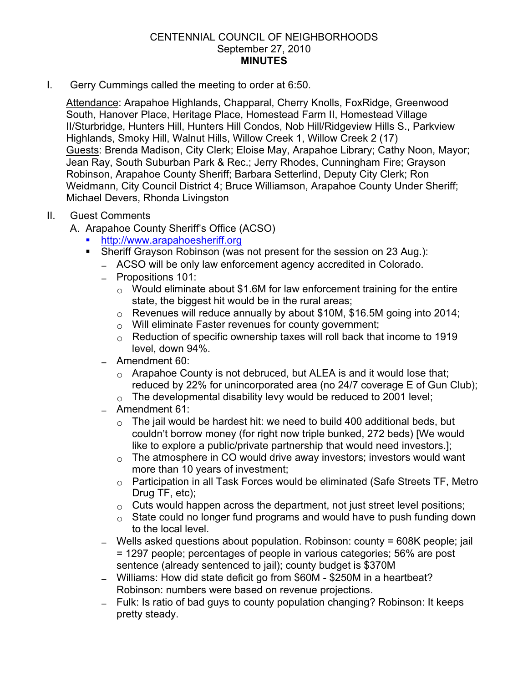## CENTENNIAL COUNCIL OF NEIGHBORHOODS September 27, 2010 **MINUTES**

I. Gerry Cummings called the meeting to order at 6:50.

Attendance: Arapahoe Highlands, Chapparal, Cherry Knolls, FoxRidge, Greenwood South, Hanover Place, Heritage Place, Homestead Farm II, Homestead Village II/Sturbridge, Hunters Hill, Hunters Hill Condos, Nob Hill/Ridgeview Hills S., Parkview Highlands, Smoky Hill, Walnut Hills, Willow Creek 1, Willow Creek 2 (17) Guests: Brenda Madison, City Clerk; Eloise May, Arapahoe Library; Cathy Noon, Mayor; Jean Ray, South Suburban Park & Rec.; Jerry Rhodes, Cunningham Fire; Grayson Robinson, Arapahoe County Sheriff; Barbara Setterlind, Deputy City Clerk; Ron Weidmann, City Council District 4; Bruce Williamson, Arapahoe County Under Sheriff; Michael Devers, Rhonda Livingston

## II. Guest Comments

- A. Arapahoe County Sheriff's Office (ACSO)
	- ! http://www.arapahoesheriff.org
	- ! Sheriff Grayson Robinson (was not present for the session on 23 Aug.):
		- ACSO will be only law enforcement agency accredited in Colorado.
		- Propositions 101:
			- $\circ$  Would eliminate about \$1.6M for law enforcement training for the entire state, the biggest hit would be in the rural areas;
			- $\circ$  Revenues will reduce annually by about \$10M, \$16.5M going into 2014;
			- $\circ$  Will eliminate Faster revenues for county government;
			- $\circ$  Reduction of specific ownership taxes will roll back that income to 1919 level, down 94%.
		- ! Amendment 60:
			- $\circ$  Arapahoe County is not debruced, but ALEA is and it would lose that; reduced by 22% for unincorporated area (no 24/7 coverage E of Gun Club);
			- $\circ$  The developmental disability levy would be reduced to 2001 level;
		- ! Amendment 61:
			- $\circ$  The jail would be hardest hit: we need to build 400 additional beds, but couldn't borrow money (for right now triple bunked, 272 beds) [We would like to explore a public/private partnership that would need investors.];
			- $\circ$  The atmosphere in CO would drive away investors; investors would want more than 10 years of investment;
			- $\circ$  Participation in all Task Forces would be eliminated (Safe Streets TF, Metro Drug TF, etc);
			- $\circ$  Cuts would happen across the department, not just street level positions;
			- $\circ$  State could no longer fund programs and would have to push funding down to the local level.
		- Wells asked questions about population. Robinson: county = 608K people; jail = 1297 people; percentages of people in various categories; 56% are post sentence (already sentenced to jail); county budget is \$370M
		- Williams: How did state deficit go from \$60M \$250M in a heartbeat? Robinson: numbers were based on revenue projections.
		- Fulk: Is ratio of bad guys to county population changing? Robinson: It keeps pretty steady.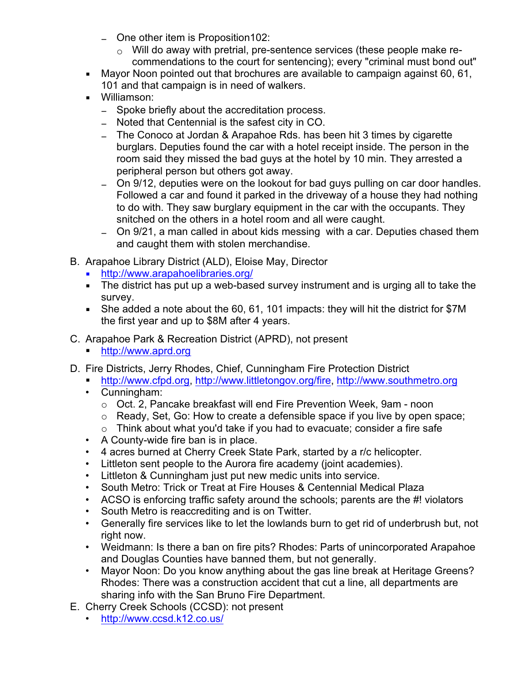- One other item is Proposition 102:
	- $\circ$  Will do away with pretrial, pre-sentence services (these people make recommendations to the court for sentencing); every "criminal must bond out"
- ! Mayor Noon pointed out that brochures are available to campaign against 60, 61, 101 and that campaign is in need of walkers.
- ! Williamson:
	- Spoke briefly about the accreditation process.
	- Noted that Centennial is the safest city in CO.
	- The Conoco at Jordan & Arapahoe Rds. has been hit 3 times by cigarette burglars. Deputies found the car with a hotel receipt inside. The person in the room said they missed the bad guys at the hotel by 10 min. They arrested a peripheral person but others got away.
	- On 9/12, deputies were on the lookout for bad guys pulling on car door handles. Followed a car and found it parked in the driveway of a house they had nothing to do with. They saw burglary equipment in the car with the occupants. They snitched on the others in a hotel room and all were caught.
	- On 9/21, a man called in about kids messing with a car. Deputies chased them and caught them with stolen merchandise.
- B. Arapahoe Library District (ALD), Eloise May, Director
	- ! http://www.arapahoelibraries.org/
	- The district has put up a web-based survey instrument and is urging all to take the survey.
	- ! She added a note about the 60, 61, 101 impacts: they will hit the district for \$7M the first year and up to \$8M after 4 years.
- C. Arapahoe Park & Recreation District (APRD), not present
	- ! http://www.aprd.org
- D. Fire Districts, Jerry Rhodes, Chief, Cunningham Fire Protection District
	- ! http://www.cfpd.org, http://www.littletongov.org/fire, http://www.southmetro.org
	- Cunningham:
		- $\circ$  Oct. 2, Pancake breakfast will end Fire Prevention Week, 9am noon
		- o Ready, Set, Go: How to create a defensible space if you live by open space;
		- $\circ$  Think about what you'd take if you had to evacuate; consider a fire safe
	- A County-wide fire ban is in place.
	- 4 acres burned at Cherry Creek State Park, started by a r/c helicopter.
	- Littleton sent people to the Aurora fire academy (joint academies).
	- Littleton & Cunningham just put new medic units into service.
	- South Metro: Trick or Treat at Fire Houses & Centennial Medical Plaza
	- ACSO is enforcing traffic safety around the schools; parents are the #! violators
	- South Metro is reaccrediting and is on Twitter.
	- Generally fire services like to let the lowlands burn to get rid of underbrush but, not right now.
	- Weidmann: Is there a ban on fire pits? Rhodes: Parts of unincorporated Arapahoe and Douglas Counties have banned them, but not generally.
	- Mayor Noon: Do you know anything about the gas line break at Heritage Greens? Rhodes: There was a construction accident that cut a line, all departments are sharing info with the San Bruno Fire Department.
- E. Cherry Creek Schools (CCSD): not present
	- http://www.ccsd.k12.co.us/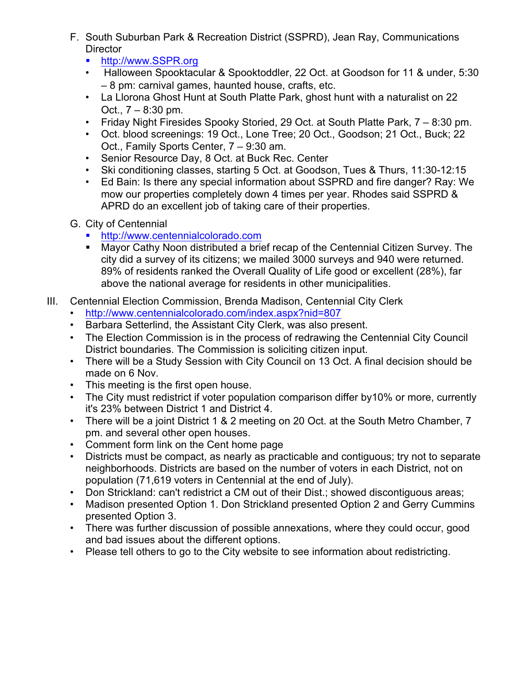- F. South Suburban Park & Recreation District (SSPRD), Jean Ray, Communications **Director** 
	- http://www.SSPR.org
	- Halloween Spooktacular & Spooktoddler, 22 Oct. at Goodson for 11 & under, 5:30 – 8 pm: carnival games, haunted house, crafts, etc.
	- La Llorona Ghost Hunt at South Platte Park, ghost hunt with a naturalist on 22 Oct., 7 – 8:30 pm.
	- Friday Night Firesides Spooky Storied, 29 Oct. at South Platte Park, 7 8:30 pm.
	- Oct. blood screenings: 19 Oct., Lone Tree; 20 Oct., Goodson; 21 Oct., Buck; 22 Oct., Family Sports Center, 7 – 9:30 am.
	- Senior Resource Day, 8 Oct. at Buck Rec. Center
	- Ski conditioning classes, starting 5 Oct. at Goodson, Tues & Thurs, 11:30-12:15
	- Ed Bain: Is there any special information about SSPRD and fire danger? Ray: We mow our properties completely down 4 times per year. Rhodes said SSPRD & APRD do an excellent job of taking care of their properties.
- G. City of Centennial
	- ! http://www.centennialcolorado.com
	- ! Mayor Cathy Noon distributed a brief recap of the Centennial Citizen Survey. The city did a survey of its citizens; we mailed 3000 surveys and 940 were returned. 89% of residents ranked the Overall Quality of Life good or excellent (28%), far above the national average for residents in other municipalities.
- III. Centennial Election Commission, Brenda Madison, Centennial City Clerk
	- http://www.centennialcolorado.com/index.aspx?nid=807
	- Barbara Setterlind, the Assistant City Clerk, was also present.
	- The Election Commission is in the process of redrawing the Centennial City Council District boundaries. The Commission is soliciting citizen input.
	- There will be a Study Session with City Council on 13 Oct. A final decision should be made on 6 Nov.
	- This meeting is the first open house.
	- The City must redistrict if voter population comparison differ by 10% or more, currently it's 23% between District 1 and District 4.
	- There will be a joint District 1 & 2 meeting on 20 Oct. at the South Metro Chamber, 7 pm. and several other open houses.
	- Comment form link on the Cent home page
	- Districts must be compact, as nearly as practicable and contiguous; try not to separate neighborhoods. Districts are based on the number of voters in each District, not on population (71,619 voters in Centennial at the end of July).
	- Don Strickland: can't redistrict a CM out of their Dist.; showed discontiguous areas;
	- Madison presented Option 1. Don Strickland presented Option 2 and Gerry Cummins presented Option 3.
	- There was further discussion of possible annexations, where they could occur, good and bad issues about the different options.
	- Please tell others to go to the City website to see information about redistricting.